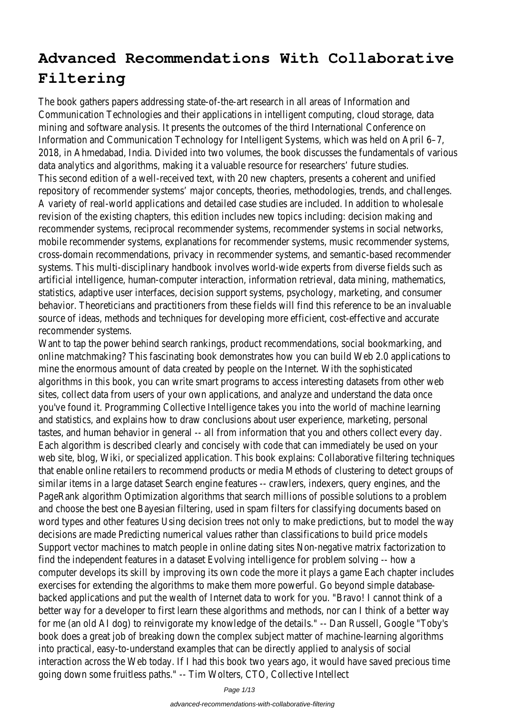# **Advanced Recommendations With Collaborative Filtering**

The book gathers papers addressing state-of-the-art research in all areas of Information and Communication Technologies and their applications in intelligent computing, cloud storage, data mining and software analysis. It presents the outcomes of the third International Conference on Information and Communication Technology for Intelligent Systems, which was held on April 6–7, 2018, in Ahmedabad, India. Divided into two volumes, the book discusses the fundamentals of various data analytics and algorithms, making it a valuable resource for researchers' future studies. This second edition of a well-received text, with 20 new chapters, presents a coherent and unified repository of recommender systems' major concepts, theories, methodologies, trends, and challenges. A variety of real-world applications and detailed case studies are included. In addition to wholesale revision of the existing chapters, this edition includes new topics including: decision making and recommender systems, reciprocal recommender systems, recommender systems in social networks, mobile recommender systems, explanations for recommender systems, music recommender systems, cross-domain recommendations, privacy in recommender systems, and semantic-based recommender systems. This multi-disciplinary handbook involves world-wide experts from diverse fields such as artificial intelligence, human-computer interaction, information retrieval, data mining, mathematics, statistics, adaptive user interfaces, decision support systems, psychology, marketing, and consumer behavior. Theoreticians and practitioners from these fields will find this reference to be an invaluable source of ideas, methods and techniques for developing more efficient, cost-effective and accurate recommender systems.

Want to tap the power behind search rankings, product recommendations, social bookmarking, and online matchmaking? This fascinating book demonstrates how you can build Web 2.0 applications to mine the enormous amount of data created by people on the Internet. With the sophisticated algorithms in this book, you can write smart programs to access interesting datasets from other wel sites, collect data from users of your own applications, and analyze and understand the data once you've found it. Programming Collective Intelligence takes you into the world of machine learning and statistics, and explains how to draw conclusions about user experience, marketing, personal tastes, and human behavior in general -- all from information that you and others collect every day. Each algorithm is described clearly and concisely with code that can immediately be used on your web site, blog, Wiki, or specialized application. This book explains: Collaborative filtering techniques that enable online retailers to recommend products or media Methods of clustering to detect groups similar items in a large dataset Search engine features -- crawlers, indexers, query engines, and the PageRank algorithm Optimization algorithms that search millions of possible solutions to a problem and choose the best one Bayesian filtering, used in spam filters for classifying documents based on word types and other features Using decision trees not only to make predictions, but to model the w decisions are made Predicting numerical values rather than classifications to build price models Support vector machines to match people in online dating sites Non-negative matrix factorization to find the independent features in a dataset Evolving intelligence for problem solving -- how a computer develops its skill by improving its own code the more it plays a game Each chapter includes exercises for extending the algorithms to make them more powerful. Go beyond simple databasebacked applications and put the wealth of Internet data to work for you. "Bravo! I cannot think of a better way for a developer to first learn these algorithms and methods, nor can I think of a better w for me (an old AI dog) to reinvigorate my knowledge of the details." -- Dan Russell, Google "Toby's book does a great job of breaking down the complex subject matter of machine-learning algorithms into practical, easy-to-understand examples that can be directly applied to analysis of social interaction across the Web today. If I had this book two years ago, it would have saved precious time going down some fruitless paths." -- Tim Wolters, CTO, Collective Intellect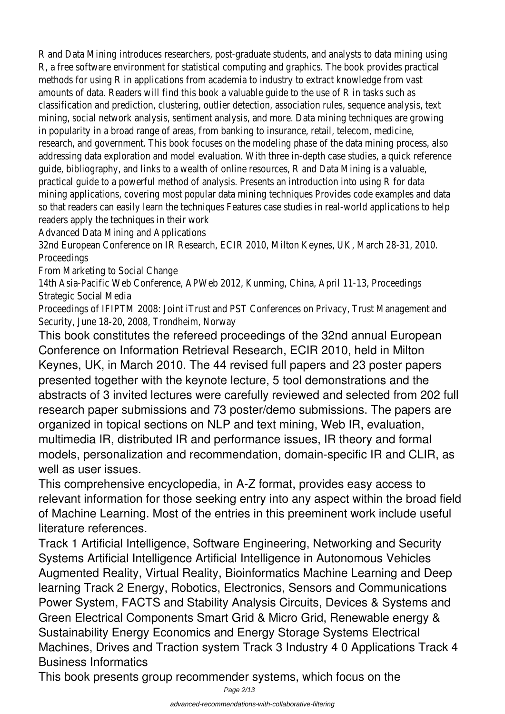R and Data Mining introduces researchers, post-graduate students, and analysts to data mining using R, a free software environment for statistical computing and graphics. The book provides practical methods for using R in applications from academia to industry to extract knowledge from vast amounts of data. Readers will find this book a valuable guide to the use of R in tasks such as classification and prediction, clustering, outlier detection, association rules, sequence analysis, text mining, social network analysis, sentiment analysis, and more. Data mining techniques are growing in popularity in a broad range of areas, from banking to insurance, retail, telecom, medicine, research, and government. This book focuses on the modeling phase of the data mining process, also addressing data exploration and model evaluation. With three in-depth case studies, a quick reference guide, bibliography, and links to a wealth of online resources, R and Data Mining is a valuable, practical guide to a powerful method of analysis. Presents an introduction into using R for data mining applications, covering most popular data mining techniques Provides code examples and data so that readers can easily learn the techniques Features case studies in real-world applications to he readers apply the techniques in their work

Advanced Data Mining and Applications

32nd European Conference on IR Research, ECIR 2010, Milton Keynes, UK, March 28-31, 2010. Proceedings

From Marketing to Social Change

14th Asia-Pacific Web Conference, APWeb 2012, Kunming, China, April 11-13, Proceedings Strategic Social Media

Proceedings of IFIPTM 2008: Joint iTrust and PST Conferences on Privacy, Trust Management and Security, June 18-20, 2008, Trondheim, Norway

This book constitutes the refereed proceedings of the 32nd annual European Conference on Information Retrieval Research, ECIR 2010, held in Milton Keynes, UK, in March 2010. The 44 revised full papers and 23 poster papers presented together with the keynote lecture, 5 tool demonstrations and the abstracts of 3 invited lectures were carefully reviewed and selected from 202 full research paper submissions and 73 poster/demo submissions. The papers are organized in topical sections on NLP and text mining, Web IR, evaluation, multimedia IR, distributed IR and performance issues, IR theory and formal models, personalization and recommendation, domain-specific IR and CLIR, as well as user issues.

This comprehensive encyclopedia, in A-Z format, provides easy access to relevant information for those seeking entry into any aspect within the broad field of Machine Learning. Most of the entries in this preeminent work include useful literature references.

Track 1 Artificial Intelligence, Software Engineering, Networking and Security Systems Artificial Intelligence Artificial Intelligence in Autonomous Vehicles Augmented Reality, Virtual Reality, Bioinformatics Machine Learning and Deep learning Track 2 Energy, Robotics, Electronics, Sensors and Communications Power System, FACTS and Stability Analysis Circuits, Devices & Systems and Green Electrical Components Smart Grid & Micro Grid, Renewable energy & Sustainability Energy Economics and Energy Storage Systems Electrical Machines, Drives and Traction system Track 3 Industry 4 0 Applications Track 4 Business Informatics

This book presents group recommender systems, which focus on the

Page 2/13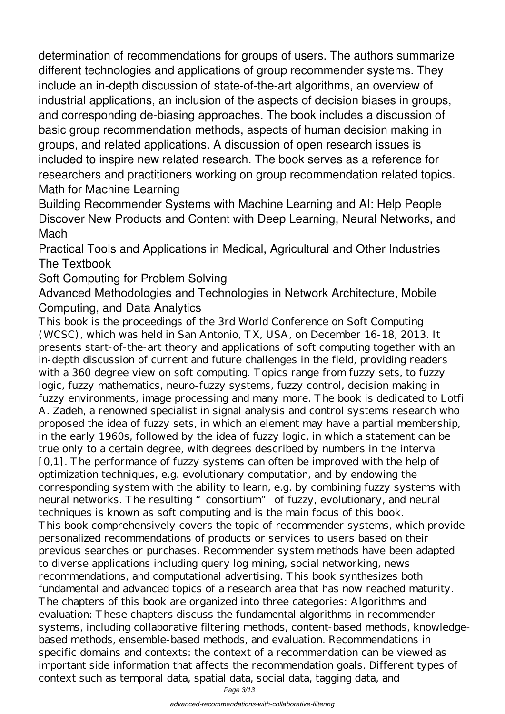determination of recommendations for groups of users. The authors summarize different technologies and applications of group recommender systems. They include an in-depth discussion of state-of-the-art algorithms, an overview of industrial applications, an inclusion of the aspects of decision biases in groups, and corresponding de-biasing approaches. The book includes a discussion of basic group recommendation methods, aspects of human decision making in groups, and related applications. A discussion of open research issues is included to inspire new related research. The book serves as a reference for researchers and practitioners working on group recommendation related topics. Math for Machine Learning

Building Recommender Systems with Machine Learning and AI: Help People Discover New Products and Content with Deep Learning, Neural Networks, and Mach

Practical Tools and Applications in Medical, Agricultural and Other Industries The Textbook

Soft Computing for Problem Solving

Advanced Methodologies and Technologies in Network Architecture, Mobile Computing, and Data Analytics

This book is the proceedings of the 3rd World Conference on Soft Computing (WCSC), which was held in San Antonio, TX, USA, on December 16-18, 2013. It presents start-of-the-art theory and applications of soft computing together with an in-depth discussion of current and future challenges in the field, providing readers with a 360 degree view on soft computing. Topics range from fuzzy sets, to fuzzy logic, fuzzy mathematics, neuro-fuzzy systems, fuzzy control, decision making in fuzzy environments, image processing and many more. The book is dedicated to Lotfi A. Zadeh, a renowned specialist in signal analysis and control systems research who proposed the idea of fuzzy sets, in which an element may have a partial membership, in the early 1960s, followed by the idea of fuzzy logic, in which a statement can be true only to a certain degree, with degrees described by numbers in the interval [0,1]. The performance of fuzzy systems can often be improved with the help of optimization techniques, e.g. evolutionary computation, and by endowing the corresponding system with the ability to learn, e.g. by combining fuzzy systems with neural networks. The resulting "consortium" of fuzzy, evolutionary, and neural techniques is known as soft computing and is the main focus of this book. This book comprehensively covers the topic of recommender systems, which provide personalized recommendations of products or services to users based on their previous searches or purchases. Recommender system methods have been adapted to diverse applications including query log mining, social networking, news recommendations, and computational advertising. This book synthesizes both fundamental and advanced topics of a research area that has now reached maturity. The chapters of this book are organized into three categories: Algorithms and evaluation: These chapters discuss the fundamental algorithms in recommender systems, including collaborative filtering methods, content-based methods, knowledgebased methods, ensemble-based methods, and evaluation. Recommendations in specific domains and contexts: the context of a recommendation can be viewed as important side information that affects the recommendation goals. Different types of context such as temporal data, spatial data, social data, tagging data, and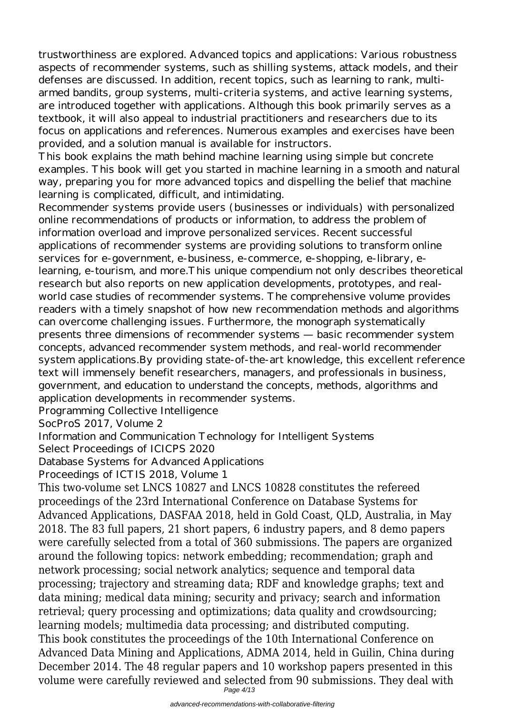trustworthiness are explored. Advanced topics and applications: Various robustness aspects of recommender systems, such as shilling systems, attack models, and their defenses are discussed. In addition, recent topics, such as learning to rank, multiarmed bandits, group systems, multi-criteria systems, and active learning systems, are introduced together with applications. Although this book primarily serves as a textbook, it will also appeal to industrial practitioners and researchers due to its focus on applications and references. Numerous examples and exercises have been provided, and a solution manual is available for instructors.

This book explains the math behind machine learning using simple but concrete examples. This book will get you started in machine learning in a smooth and natural way, preparing you for more advanced topics and dispelling the belief that machine learning is complicated, difficult, and intimidating.

Recommender systems provide users (businesses or individuals) with personalized online recommendations of products or information, to address the problem of information overload and improve personalized services. Recent successful applications of recommender systems are providing solutions to transform online services for e-government, e-business, e-commerce, e-shopping, e-library, elearning, e-tourism, and more.This unique compendium not only describes theoretical research but also reports on new application developments, prototypes, and realworld case studies of recommender systems. The comprehensive volume provides readers with a timely snapshot of how new recommendation methods and algorithms can overcome challenging issues. Furthermore, the monograph systematically presents three dimensions of recommender systems — basic recommender system concepts, advanced recommender system methods, and real-world recommender system applications.By providing state-of-the-art knowledge, this excellent reference text will immensely benefit researchers, managers, and professionals in business, government, and education to understand the concepts, methods, algorithms and application developments in recommender systems.

Programming Collective Intelligence

SocProS 2017, Volume 2

Information and Communication Technology for Intelligent Systems

Select Proceedings of ICICPS 2020

Database Systems for Advanced Applications

Proceedings of ICTIS 2018, Volume 1

This two-volume set LNCS 10827 and LNCS 10828 constitutes the refereed proceedings of the 23rd International Conference on Database Systems for Advanced Applications, DASFAA 2018, held in Gold Coast, QLD, Australia, in May 2018. The 83 full papers, 21 short papers, 6 industry papers, and 8 demo papers were carefully selected from a total of 360 submissions. The papers are organized around the following topics: network embedding; recommendation; graph and network processing; social network analytics; sequence and temporal data processing; trajectory and streaming data; RDF and knowledge graphs; text and data mining; medical data mining; security and privacy; search and information retrieval; query processing and optimizations; data quality and crowdsourcing; learning models; multimedia data processing; and distributed computing. This book constitutes the proceedings of the 10th International Conference on Advanced Data Mining and Applications, ADMA 2014, held in Guilin, China during December 2014. The 48 regular papers and 10 workshop papers presented in this volume were carefully reviewed and selected from 90 submissions. They deal with

Page 4/13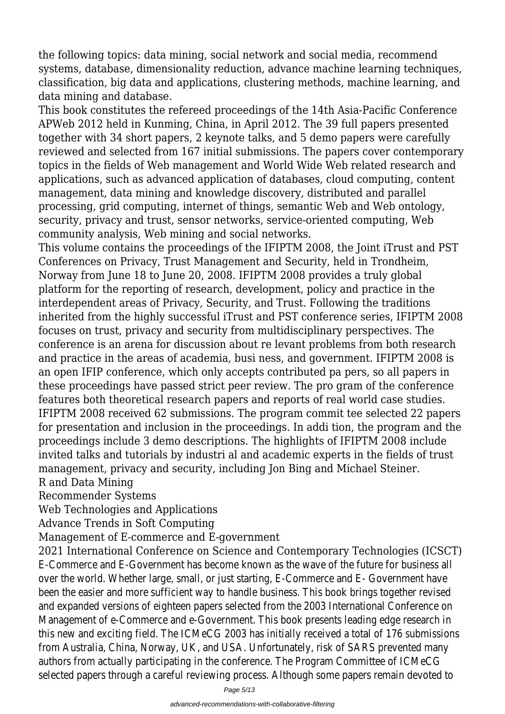the following topics: data mining, social network and social media, recommend systems, database, dimensionality reduction, advance machine learning techniques, classification, big data and applications, clustering methods, machine learning, and data mining and database.

This book constitutes the refereed proceedings of the 14th Asia-Pacific Conference APWeb 2012 held in Kunming, China, in April 2012. The 39 full papers presented together with 34 short papers, 2 keynote talks, and 5 demo papers were carefully reviewed and selected from 167 initial submissions. The papers cover contemporary topics in the fields of Web management and World Wide Web related research and applications, such as advanced application of databases, cloud computing, content management, data mining and knowledge discovery, distributed and parallel processing, grid computing, internet of things, semantic Web and Web ontology, security, privacy and trust, sensor networks, service-oriented computing, Web community analysis, Web mining and social networks.

This volume contains the proceedings of the IFIPTM 2008, the Joint iTrust and PST Conferences on Privacy, Trust Management and Security, held in Trondheim, Norway from June 18 to June 20, 2008. IFIPTM 2008 provides a truly global platform for the reporting of research, development, policy and practice in the interdependent areas of Privacy, Security, and Trust. Following the traditions inherited from the highly successful iTrust and PST conference series, IFIPTM 2008 focuses on trust, privacy and security from multidisciplinary perspectives. The conference is an arena for discussion about re levant problems from both research and practice in the areas of academia, busi ness, and government. IFIPTM 2008 is an open IFIP conference, which only accepts contributed pa pers, so all papers in these proceedings have passed strict peer review. The pro gram of the conference features both theoretical research papers and reports of real world case studies. IFIPTM 2008 received 62 submissions. The program commit tee selected 22 papers for presentation and inclusion in the proceedings. In addi tion, the program and the proceedings include 3 demo descriptions. The highlights of IFIPTM 2008 include invited talks and tutorials by industri al and academic experts in the fields of trust management, privacy and security, including Jon Bing and Michael Steiner.

#### R and Data Mining

Recommender Systems

Web Technologies and Applications

Advance Trends in Soft Computing

Management of E-commerce and E-government

2021 International Conference on Science and Contemporary Technologies (ICSCT) E-Commerce and E-Government has become known as the wave of the future for business all over the world. Whether large, small, or just starting, E-Commerce and E- Government have been the easier and more sufficient way to handle business. This book brings together revised and expanded versions of eighteen papers selected from the 2003 International Conference on Management of e-Commerce and e-Government. This book presents leading edge research in this new and exciting field. The ICMeCG 2003 has initially received a total of 176 submissions from Australia, China, Norway, UK, and USA. Unfortunately, risk of SARS prevented many authors from actually participating in the conference. The Program Committee of ICMeCG selected papers through a careful reviewing process. Although some papers remain devoted to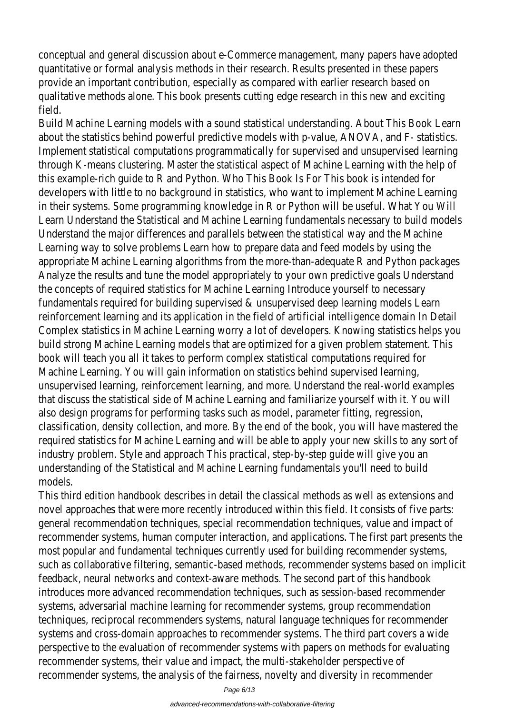conceptual and general discussion about e-Commerce management, many papers have adopte quantitative or formal analysis methods in their research. Results presented in these papers provide an important contribution, especially as compared with earlier research based on qualitative methods alone. This book presents cutting edge research in this new and exciting field.

Build Machine Learning models with a sound statistical understanding. About This Book Learn about the statistics behind powerful predictive models with p-value, ANOVA, and F- statistics. Implement statistical computations programmatically for supervised and unsupervised learning through K-means clustering. Master the statistical aspect of Machine Learning with the help this example-rich guide to R and Python. Who This Book Is For This book is intended for developers with little to no background in statistics, who want to implement Machine Learnin in their systems. Some programming knowledge in R or Python will be useful. What You Will Learn Understand the Statistical and Machine Learning fundamentals necessary to build mode Understand the major differences and parallels between the statistical way and the Machine Learning way to solve problems Learn how to prepare data and feed models by using the appropriate Machine Learning algorithms from the more-than-adequate R and Python package Analyze the results and tune the model appropriately to your own predictive goals Understand the concepts of required statistics for Machine Learning Introduce yourself to necessary fundamentals required for building supervised & unsupervised deep learning models Learn reinforcement learning and its application in the field of artificial intelligence domain In Detail Complex statistics in Machine Learning worry a lot of developers. Knowing statistics helps yo build strong Machine Learning models that are optimized for a given problem statement. This book will teach you all it takes to perform complex statistical computations required for Machine Learning. You will gain information on statistics behind supervised learning, unsupervised learning, reinforcement learning, and more. Understand the real-world examples that discuss the statistical side of Machine Learning and familiarize yourself with it. You will also design programs for performing tasks such as model, parameter fitting, regression, classification, density collection, and more. By the end of the book, you will have mastered the required statistics for Machine Learning and will be able to apply your new skills to any sort of industry problem. Style and approach This practical, step-by-step guide will give you an understanding of the Statistical and Machine Learning fundamentals you'll need to build models.

This third edition handbook describes in detail the classical methods as well as extensions and novel approaches that were more recently introduced within this field. It consists of five part general recommendation techniques, special recommendation techniques, value and impact of recommender systems, human computer interaction, and applications. The first part presents most popular and fundamental techniques currently used for building recommender systems, such as collaborative filtering, semantic-based methods, recommender systems based on implicity feedback, neural networks and context-aware methods. The second part of this handbook introduces more advanced recommendation techniques, such as session-based recommender systems, adversarial machine learning for recommender systems, group recommendation techniques, reciprocal recommenders systems, natural language techniques for recommender systems and cross-domain approaches to recommender systems. The third part covers a wide perspective to the evaluation of recommender systems with papers on methods for evaluatine recommender systems, their value and impact, the multi-stakeholder perspective of recommender systems, the analysis of the fairness, novelty and diversity in recommender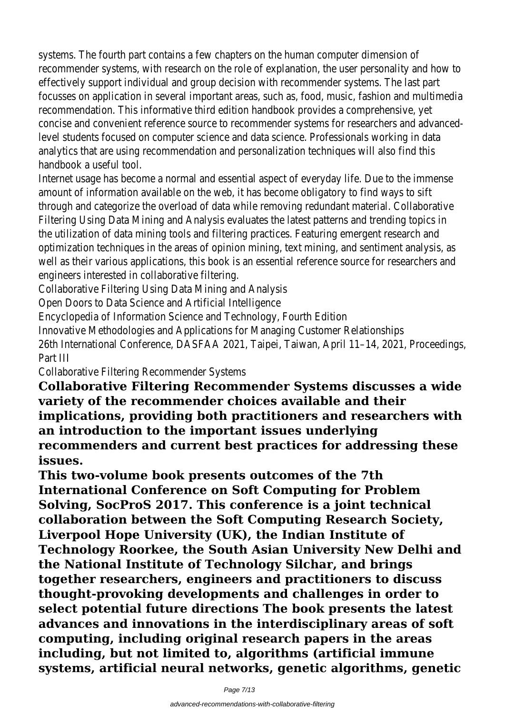systems. The fourth part contains a few chapters on the human computer dimension of recommender systems, with research on the role of explanation, the user personality and how effectively support individual and group decision with recommender systems. The last part focusses on application in several important areas, such as, food, music, fashion and multimed recommendation. This informative third edition handbook provides a comprehensive, yet concise and convenient reference source to recommender systems for researchers and advan level students focused on computer science and data science. Professionals working in data analytics that are using recommendation and personalization techniques will also find this handbook a useful tool.

Internet usage has become a normal and essential aspect of everyday life. Due to the immens amount of information available on the web, it has become obligatory to find ways to sift through and categorize the overload of data while removing redundant material. Collaborative Filtering Using Data Mining and Analysis evaluates the latest patterns and trending topics in the utilization of data mining tools and filtering practices. Featuring emergent research and optimization techniques in the areas of opinion mining, text mining, and sentiment analysis, as well as their various applications, this book is an essential reference source for researchers a engineers interested in collaborative filtering.

Collaborative Filtering Using Data Mining and Analysis

Open Doors to Data Science and Artificial Intelligence

Encyclopedia of Information Science and Technology, Fourth Edition

Innovative Methodologies and Applications for Managing Customer Relationships 26th International Conference, DASFAA 2021, Taipei, Taiwan, April 11–14, 2021, Proceedings, Part III

Collaborative Filtering Recommender Systems

**Collaborative Filtering Recommender Systems discusses a wide variety of the recommender choices available and their implications, providing both practitioners and researchers with an introduction to the important issues underlying recommenders and current best practices for addressing these issues.**

**This two-volume book presents outcomes of the 7th International Conference on Soft Computing for Problem Solving, SocProS 2017. This conference is a joint technical collaboration between the Soft Computing Research Society, Liverpool Hope University (UK), the Indian Institute of Technology Roorkee, the South Asian University New Delhi and the National Institute of Technology Silchar, and brings together researchers, engineers and practitioners to discuss thought-provoking developments and challenges in order to select potential future directions The book presents the latest advances and innovations in the interdisciplinary areas of soft computing, including original research papers in the areas including, but not limited to, algorithms (artificial immune systems, artificial neural networks, genetic algorithms, genetic**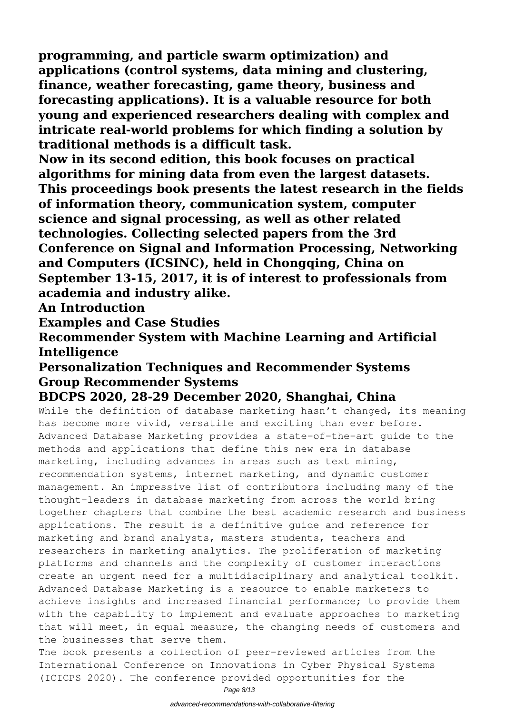**programming, and particle swarm optimization) and applications (control systems, data mining and clustering, finance, weather forecasting, game theory, business and forecasting applications). It is a valuable resource for both young and experienced researchers dealing with complex and intricate real-world problems for which finding a solution by traditional methods is a difficult task.**

**Now in its second edition, this book focuses on practical algorithms for mining data from even the largest datasets. This proceedings book presents the latest research in the fields of information theory, communication system, computer science and signal processing, as well as other related technologies. Collecting selected papers from the 3rd Conference on Signal and Information Processing, Networking and Computers (ICSINC), held in Chongqing, China on September 13-15, 2017, it is of interest to professionals from academia and industry alike.**

**An Introduction**

**Examples and Case Studies**

**Recommender System with Machine Learning and Artificial Intelligence**

### **Personalization Techniques and Recommender Systems Group Recommender Systems**

## **BDCPS 2020, 28-29 December 2020, Shanghai, China**

While the definition of database marketing hasn't changed, its meaning has become more vivid, versatile and exciting than ever before. Advanced Database Marketing provides a state-of-the-art guide to the methods and applications that define this new era in database marketing, including advances in areas such as text mining, recommendation systems, internet marketing, and dynamic customer management. An impressive list of contributors including many of the thought-leaders in database marketing from across the world bring together chapters that combine the best academic research and business applications. The result is a definitive guide and reference for marketing and brand analysts, masters students, teachers and researchers in marketing analytics. The proliferation of marketing platforms and channels and the complexity of customer interactions create an urgent need for a multidisciplinary and analytical toolkit. Advanced Database Marketing is a resource to enable marketers to achieve insights and increased financial performance; to provide them with the capability to implement and evaluate approaches to marketing that will meet, in equal measure, the changing needs of customers and the businesses that serve them.

The book presents a collection of peer-reviewed articles from the International Conference on Innovations in Cyber Physical Systems (ICICPS 2020). The conference provided opportunities for the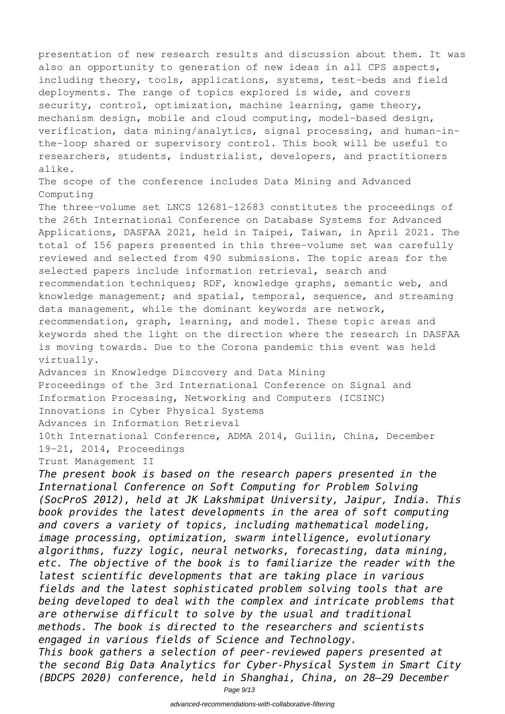presentation of new research results and discussion about them. It was also an opportunity to generation of new ideas in all CPS aspects, including theory, tools, applications, systems, test-beds and field deployments. The range of topics explored is wide, and covers security, control, optimization, machine learning, game theory, mechanism design, mobile and cloud computing, model-based design, verification, data mining/analytics, signal processing, and human-inthe-loop shared or supervisory control. This book will be useful to researchers, students, industrialist, developers, and practitioners alike. The scope of the conference includes Data Mining and Advanced

Computing The three-volume set LNCS 12681-12683 constitutes the proceedings of the 26th International Conference on Database Systems for Advanced Applications, DASFAA 2021, held in Taipei, Taiwan, in April 2021. The total of 156 papers presented in this three-volume set was carefully reviewed and selected from 490 submissions. The topic areas for the selected papers include information retrieval, search and recommendation techniques; RDF, knowledge graphs, semantic web, and knowledge management; and spatial, temporal, sequence, and streaming data management, while the dominant keywords are network, recommendation, graph, learning, and model. These topic areas and keywords shed the light on the direction where the research in DASFAA is moving towards. Due to the Corona pandemic this event was held virtually.

Advances in Knowledge Discovery and Data Mining Proceedings of the 3rd International Conference on Signal and Information Processing, Networking and Computers (ICSINC) Innovations in Cyber Physical Systems Advances in Information Retrieval 10th International Conference, ADMA 2014, Guilin, China, December

19-21, 2014, Proceedings

Trust Management II

*The present book is based on the research papers presented in the International Conference on Soft Computing for Problem Solving (SocProS 2012), held at JK Lakshmipat University, Jaipur, India. This book provides the latest developments in the area of soft computing and covers a variety of topics, including mathematical modeling, image processing, optimization, swarm intelligence, evolutionary algorithms, fuzzy logic, neural networks, forecasting, data mining, etc. The objective of the book is to familiarize the reader with the latest scientific developments that are taking place in various fields and the latest sophisticated problem solving tools that are being developed to deal with the complex and intricate problems that are otherwise difficult to solve by the usual and traditional methods. The book is directed to the researchers and scientists engaged in various fields of Science and Technology. This book gathers a selection of peer-reviewed papers presented at the second Big Data Analytics for Cyber-Physical System in Smart City (BDCPS 2020) conference, held in Shanghai, China, on 28–29 December*

Page 9/13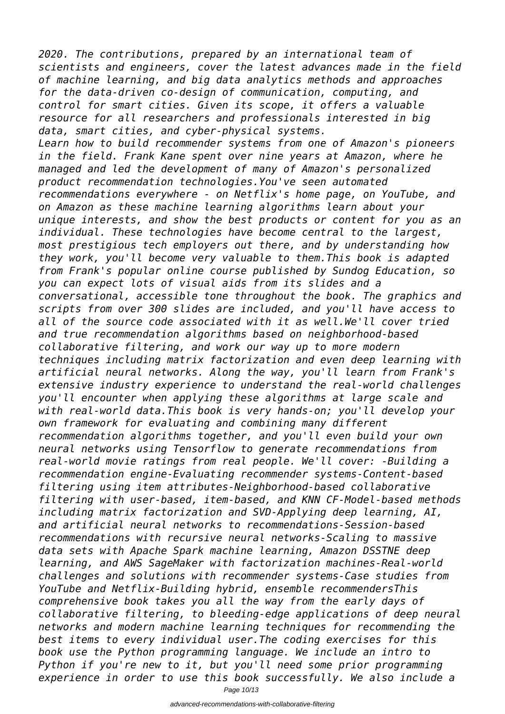*2020. The contributions, prepared by an international team of scientists and engineers, cover the latest advances made in the field of machine learning, and big data analytics methods and approaches for the data-driven co-design of communication, computing, and control for smart cities. Given its scope, it offers a valuable resource for all researchers and professionals interested in big data, smart cities, and cyber-physical systems. Learn how to build recommender systems from one of Amazon's pioneers in the field. Frank Kane spent over nine years at Amazon, where he managed and led the development of many of Amazon's personalized product recommendation technologies.You've seen automated recommendations everywhere - on Netflix's home page, on YouTube, and on Amazon as these machine learning algorithms learn about your unique interests, and show the best products or content for you as an individual. These technologies have become central to the largest, most prestigious tech employers out there, and by understanding how they work, you'll become very valuable to them.This book is adapted from Frank's popular online course published by Sundog Education, so you can expect lots of visual aids from its slides and a conversational, accessible tone throughout the book. The graphics and scripts from over 300 slides are included, and you'll have access to all of the source code associated with it as well.We'll cover tried and true recommendation algorithms based on neighborhood-based collaborative filtering, and work our way up to more modern techniques including matrix factorization and even deep learning with artificial neural networks. Along the way, you'll learn from Frank's extensive industry experience to understand the real-world challenges you'll encounter when applying these algorithms at large scale and with real-world data.This book is very hands-on; you'll develop your own framework for evaluating and combining many different recommendation algorithms together, and you'll even build your own neural networks using Tensorflow to generate recommendations from real-world movie ratings from real people. We'll cover: -Building a recommendation engine-Evaluating recommender systems-Content-based filtering using item attributes-Neighborhood-based collaborative filtering with user-based, item-based, and KNN CF-Model-based methods including matrix factorization and SVD-Applying deep learning, AI, and artificial neural networks to recommendations-Session-based recommendations with recursive neural networks-Scaling to massive data sets with Apache Spark machine learning, Amazon DSSTNE deep learning, and AWS SageMaker with factorization machines-Real-world challenges and solutions with recommender systems-Case studies from YouTube and Netflix-Building hybrid, ensemble recommendersThis comprehensive book takes you all the way from the early days of collaborative filtering, to bleeding-edge applications of deep neural networks and modern machine learning techniques for recommending the best items to every individual user.The coding exercises for this book use the Python programming language. We include an intro to Python if you're new to it, but you'll need some prior programming experience in order to use this book successfully. We also include a*

Page 10/13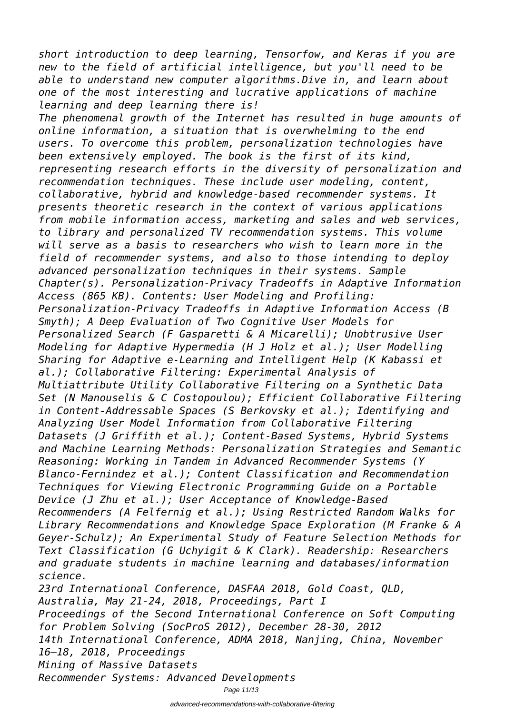*short introduction to deep learning, Tensorfow, and Keras if you are new to the field of artificial intelligence, but you'll need to be able to understand new computer algorithms.Dive in, and learn about one of the most interesting and lucrative applications of machine learning and deep learning there is!*

*The phenomenal growth of the Internet has resulted in huge amounts of online information, a situation that is overwhelming to the end users. To overcome this problem, personalization technologies have been extensively employed. The book is the first of its kind, representing research efforts in the diversity of personalization and recommendation techniques. These include user modeling, content, collaborative, hybrid and knowledge-based recommender systems. It presents theoretic research in the context of various applications from mobile information access, marketing and sales and web services, to library and personalized TV recommendation systems. This volume will serve as a basis to researchers who wish to learn more in the field of recommender systems, and also to those intending to deploy advanced personalization techniques in their systems. Sample Chapter(s). Personalization-Privacy Tradeoffs in Adaptive Information Access (865 KB). Contents: User Modeling and Profiling: Personalization-Privacy Tradeoffs in Adaptive Information Access (B Smyth); A Deep Evaluation of Two Cognitive User Models for Personalized Search (F Gasparetti & A Micarelli); Unobtrusive User Modeling for Adaptive Hypermedia (H J Holz et al.); User Modelling Sharing for Adaptive e-Learning and Intelligent Help (K Kabassi et al.); Collaborative Filtering: Experimental Analysis of Multiattribute Utility Collaborative Filtering on a Synthetic Data Set (N Manouselis & C Costopoulou); Efficient Collaborative Filtering in Content-Addressable Spaces (S Berkovsky et al.); Identifying and Analyzing User Model Information from Collaborative Filtering Datasets (J Griffith et al.); Content-Based Systems, Hybrid Systems and Machine Learning Methods: Personalization Strategies and Semantic Reasoning: Working in Tandem in Advanced Recommender Systems (Y Blanco-Fernindez et al.); Content Classification and Recommendation Techniques for Viewing Electronic Programming Guide on a Portable Device (J Zhu et al.); User Acceptance of Knowledge-Based Recommenders (A Felfernig et al.); Using Restricted Random Walks for Library Recommendations and Knowledge Space Exploration (M Franke & A Geyer-Schulz); An Experimental Study of Feature Selection Methods for Text Classification (G Uchyigit & K Clark). Readership: Researchers and graduate students in machine learning and databases/information science. 23rd International Conference, DASFAA 2018, Gold Coast, QLD,*

*Australia, May 21-24, 2018, Proceedings, Part I*

*Proceedings of the Second International Conference on Soft Computing for Problem Solving (SocProS 2012), December 28-30, 2012*

*14th International Conference, ADMA 2018, Nanjing, China, November 16–18, 2018, Proceedings*

*Mining of Massive Datasets*

*Recommender Systems: Advanced Developments*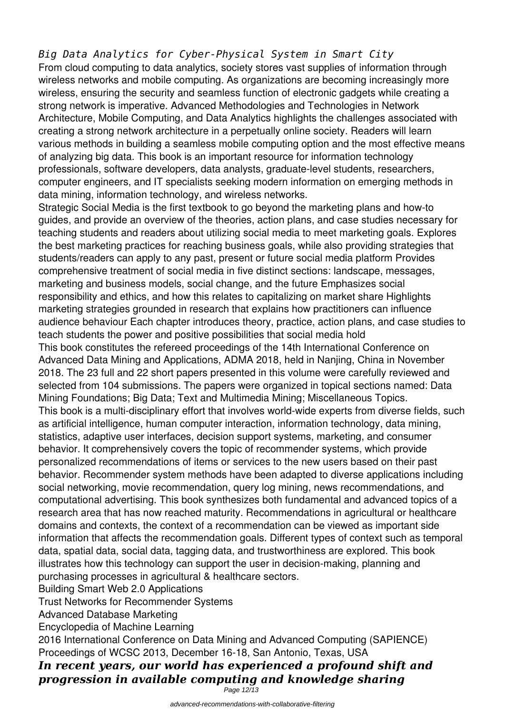#### *Big Data Analytics for Cyber-Physical System in Smart City*

From cloud computing to data analytics, society stores vast supplies of information through wireless networks and mobile computing. As organizations are becoming increasingly more wireless, ensuring the security and seamless function of electronic gadgets while creating a strong network is imperative. Advanced Methodologies and Technologies in Network Architecture, Mobile Computing, and Data Analytics highlights the challenges associated with creating a strong network architecture in a perpetually online society. Readers will learn various methods in building a seamless mobile computing option and the most effective means of analyzing big data. This book is an important resource for information technology professionals, software developers, data analysts, graduate-level students, researchers, computer engineers, and IT specialists seeking modern information on emerging methods in data mining, information technology, and wireless networks.

Strategic Social Media is the first textbook to go beyond the marketing plans and how-to guides, and provide an overview of the theories, action plans, and case studies necessary for teaching students and readers about utilizing social media to meet marketing goals. Explores the best marketing practices for reaching business goals, while also providing strategies that students/readers can apply to any past, present or future social media platform Provides comprehensive treatment of social media in five distinct sections: landscape, messages, marketing and business models, social change, and the future Emphasizes social responsibility and ethics, and how this relates to capitalizing on market share Highlights marketing strategies grounded in research that explains how practitioners can influence audience behaviour Each chapter introduces theory, practice, action plans, and case studies to teach students the power and positive possibilities that social media hold This book constitutes the refereed proceedings of the 14th International Conference on Advanced Data Mining and Applications, ADMA 2018, held in Nanjing, China in November 2018. The 23 full and 22 short papers presented in this volume were carefully reviewed and selected from 104 submissions. The papers were organized in topical sections named: Data Mining Foundations; Big Data; Text and Multimedia Mining; Miscellaneous Topics. This book is a multi-disciplinary effort that involves world-wide experts from diverse fields, such as artificial intelligence, human computer interaction, information technology, data mining, statistics, adaptive user interfaces, decision support systems, marketing, and consumer behavior. It comprehensively covers the topic of recommender systems, which provide personalized recommendations of items or services to the new users based on their past behavior. Recommender system methods have been adapted to diverse applications including social networking, movie recommendation, query log mining, news recommendations, and computational advertising. This book synthesizes both fundamental and advanced topics of a research area that has now reached maturity. Recommendations in agricultural or healthcare domains and contexts, the context of a recommendation can be viewed as important side information that affects the recommendation goals. Different types of context such as temporal data, spatial data, social data, tagging data, and trustworthiness are explored. This book illustrates how this technology can support the user in decision-making, planning and purchasing processes in agricultural & healthcare sectors.

Building Smart Web 2.0 Applications

Trust Networks for Recommender Systems

Advanced Database Marketing

Encyclopedia of Machine Learning

2016 International Conference on Data Mining and Advanced Computing (SAPIENCE) Proceedings of WCSC 2013, December 16-18, San Antonio, Texas, USA

*In recent years, our world has experienced a profound shift and progression in available computing and knowledge sharing*

Page 12/13